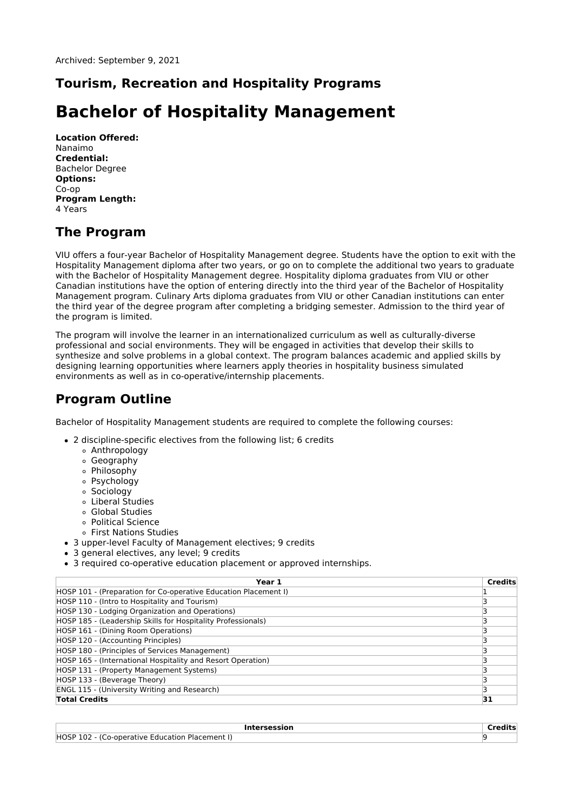### **Tourism, Recreation and Hospitality Programs**

# **Bachelor of Hospitality Management**

**Location Offered:** Nanaimo **Credential:** Bachelor Degree **Options:** Co-op **Program Length:** 4 Years

### **The Program**

VIU offers a four-year Bachelor of Hospitality Management degree. Students have the option to exit with the Hospitality Management diploma after two years, or go on to complete the additional two years to graduate with the Bachelor of Hospitality Management degree. Hospitality diploma graduates from VIU or other Canadian institutions have the option of entering directly into the third year of the Bachelor of Hospitality Management program. Culinary Arts diploma graduates from VIU or other Canadian institutions can enter the third year of the degree program after completing a bridging semester. Admission to the third year of the program is limited.

The program will involve the learner in an internationalized curriculum as well as culturally-diverse professional and social environments. They will be engaged in activities that develop their skills to synthesize and solve problems in a global context. The program balances academic and applied skills by designing learning opportunities where learners apply theories in hospitality business simulated environments as well as in co-operative/internship placements.

### **Program Outline**

Bachelor of Hospitality Management students are required to complete the following courses:

- 2 discipline-specific electives from the following list; 6 credits
	- Anthropology
	- Geography
	- Philosophy
	- Psychology
	- Sociology
	- Liberal Studies
	- Global Studies
	- Political Science
	- First Nations Studies
- 3 upper-level Faculty of Management electives; 9 credits
- 3 general electives, any level; 9 credits
- 3 required co-operative education placement or approved internships.

| Year 1                                                          | <b>Credits</b> |
|-----------------------------------------------------------------|----------------|
| HOSP 101 - (Preparation for Co-operative Education Placement I) |                |
| HOSP 110 - (Intro to Hospitality and Tourism)                   |                |
| HOSP 130 - Lodging Organization and Operations)                 |                |
| HOSP 185 - (Leadership Skills for Hospitality Professionals)    |                |
| HOSP 161 - (Dining Room Operations)                             |                |
| HOSP 120 - (Accounting Principles)                              |                |
| HOSP 180 - (Principles of Services Management)                  |                |
| HOSP 165 - (International Hospitality and Resort Operation)     |                |
| HOSP 131 - (Property Management Systems)                        |                |
| HOSP 133 - (Beverage Theory)                                    |                |
| <b>ENGL 115 - (University Writing and Research)</b>             |                |
| <b>Total Credits</b>                                            | 31             |

| .cersession                                                | . |
|------------------------------------------------------------|---|
| <b>HOSP</b><br>(Co-operative Education P<br>i Placement l' |   |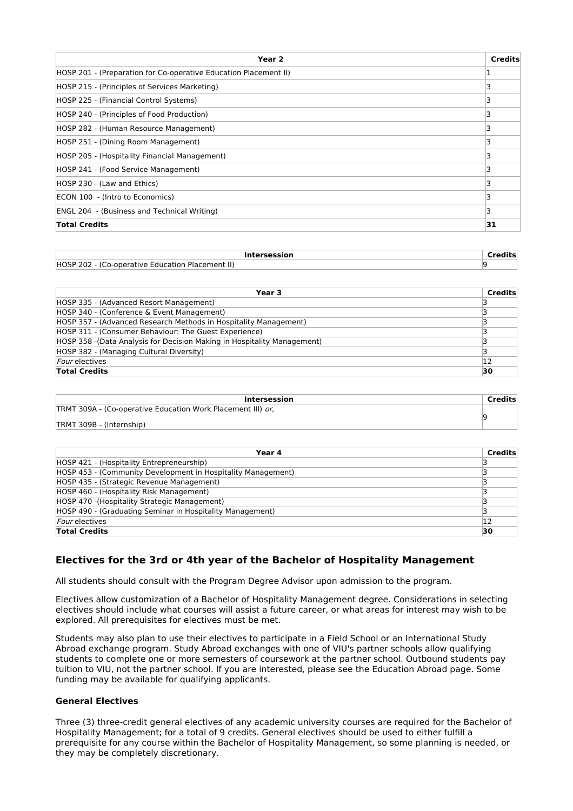| Year <sub>2</sub>                                                 | <b>Credits</b> |
|-------------------------------------------------------------------|----------------|
| (HOSP 201 - (Preparation for Co-operative Education Placement II) |                |
| HOSP 215 - (Principles of Services Marketing)                     |                |
| HOSP 225 - (Financial Control Systems)                            |                |
| HOSP 240 - (Principles of Food Production)                        |                |
| HOSP 282 - (Human Resource Management)                            |                |
| HOSP 251 - (Dining Room Management)                               |                |
| HOSP 205 - (Hospitality Financial Management)                     |                |
| HOSP 241 - (Food Service Management)                              |                |
| HOSP 230 - (Law and Ethics)                                       |                |
| ECON 100 - (Intro to Economics)                                   |                |
| <b>ENGL 204 - (Business and Technical Writing)</b>                |                |
| <b>Total Credits</b>                                              | 31             |

| <b>Intersession</b>                              |  |
|--------------------------------------------------|--|
| HOSP 202 - (Co-operative Education Placement II) |  |

| Year 3                                                                   | <b>Credits</b> |
|--------------------------------------------------------------------------|----------------|
| HOSP 335 - (Advanced Resort Management)                                  |                |
| HOSP 340 - (Conference & Event Management)                               |                |
| HOSP 357 - (Advanced Research Methods in Hospitality Management)         |                |
| HOSP 311 - (Consumer Behaviour: The Guest Experience)                    |                |
| HOSP 358 - (Data Analysis for Decision Making in Hospitality Management) |                |
| HOSP 382 - (Managing Cultural Diversity)                                 |                |
| <i>Four</i> electives                                                    | 12             |
| <b>Total Credits</b>                                                     | 30             |

| Intersession                                                | Credits |
|-------------------------------------------------------------|---------|
| TRMT 309A - (Co-operative Education Work Placement III) or, |         |
| TRMT 309B - (Internship)                                    |         |

| Year 4                                                       | <b>Credits</b> |
|--------------------------------------------------------------|----------------|
| HOSP 421 - (Hospitality Entrepreneurship)                    |                |
| HOSP 453 - (Community Development in Hospitality Management) |                |
| HOSP 435 - (Strategic Revenue Management)                    |                |
| HOSP 460 - (Hospitality Risk Management)                     |                |
| HOSP 470 - (Hospitality Strategic Management)                |                |
| HOSP 490 - (Graduating Seminar in Hospitality Management)    |                |
| <i>Four</i> electives                                        | 12             |
| <b>Total Credits</b>                                         | 30             |

### **Electives for the 3rd or 4th year of the Bachelor of Hospitality Management**

All students should consult with the Program Degree Advisor upon admission to the program.

Electives allow customization of a Bachelor of Hospitality Management degree. Considerations in selecting electives should include what courses will assist a future career, or what areas for interest may wish to be explored. All prerequisites for electives must be met.

Students may also plan to use their electives to participate in a Field School or an International Study Abroad exchange program. Study Abroad exchanges with one of VIU's partner schools allow qualifying students to complete one or more semesters of coursework at the partner school. Outbound students pay tuition to VIU, not the partner school. If you are interested, please see the Education Abroad page. Some funding may be available for qualifying applicants.

#### **General Electives**

Three (3) three-credit general electives of any academic university courses are required for the Bachelor of Hospitality Management; for a total of 9 credits. General electives should be used to either fulfill a prerequisite for any course within the Bachelor of Hospitality Management, so some planning is needed, or they may be completely discretionary.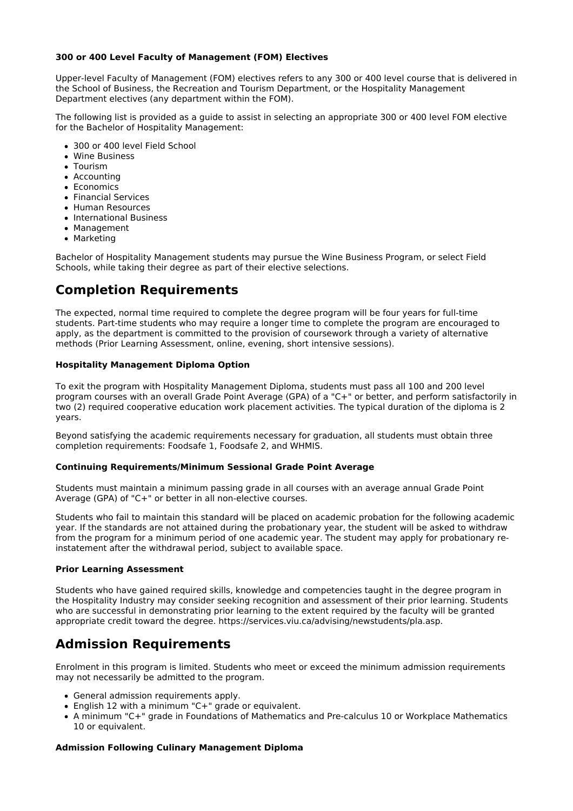#### **300 or 400 Level Faculty of Management (FOM) Electives**

Upper-level Faculty of Management (FOM) electives refers to any 300 or 400 level course that is delivered in the School of Business, the Recreation and Tourism Department, or the Hospitality Management Department electives (any department within the FOM).

The following list is provided as a guide to assist in selecting an appropriate 300 or 400 level FOM elective for the Bachelor of Hospitality Management:

- 300 or 400 level Field School
- Wine Business
- **Contrigm**
- Accounting
- Economics
- Financial Services
- Human Resources
- International Business
- Management
- Marketing

Bachelor of Hospitality Management students may pursue the Wine Business Program, or select Field Schools, while taking their degree as part of their elective selections.

### **Completion Requirements**

The expected, normal time required to complete the degree program will be four years for full-time students. Part-time students who may require a longer time to complete the program are encouraged to apply, as the department is committed to the provision of coursework through a variety of alternative methods (Prior Learning Assessment, online, evening, short intensive sessions).

#### **Hospitality Management Diploma Option**

To exit the program with Hospitality Management Diploma, students must pass all 100 and 200 level program courses with an overall Grade Point Average (GPA) of a "C+" or better, and perform satisfactorily in two (2) required cooperative education work placement activities. The typical duration of the diploma is 2 years.

Beyond satisfying the academic requirements necessary for graduation, all students must obtain three completion requirements: Foodsafe 1, Foodsafe 2, and WHMIS.

#### **Continuing Requirements/Minimum Sessional Grade Point Average**

Students must maintain a minimum passing grade in all courses with an average annual Grade Point Average (GPA) of "C+" or better in all non-elective courses.

Students who fail to maintain this standard will be placed on academic probation for the following academic year. If the standards are not attained during the probationary year, the student will be asked to withdraw from the program for a minimum period of one academic year. The student may apply for probationary reinstatement after the withdrawal period, subject to available space.

#### **Prior Learning Assessment**

Students who have gained required skills, knowledge and competencies taught in the degree program in the Hospitality Industry may consider seeking recognition and assessment of their prior learning. Students who are successful in demonstrating prior learning to the extent required by the faculty will be granted appropriate credit toward the degree. https://services.viu.ca/advising/newstudents/pla.asp.

### **Admission Requirements**

Enrolment in this program is limited. Students who meet or exceed the minimum admission requirements may not necessarily be admitted to the program.

- General admission requirements apply.
- English 12 with a minimum "C+" grade or equivalent.
- A minimum "C+" grade in Foundations of Mathematics and Pre-calculus 10 or Workplace Mathematics 10 or equivalent.

#### **Admission Following Culinary Management Diploma**